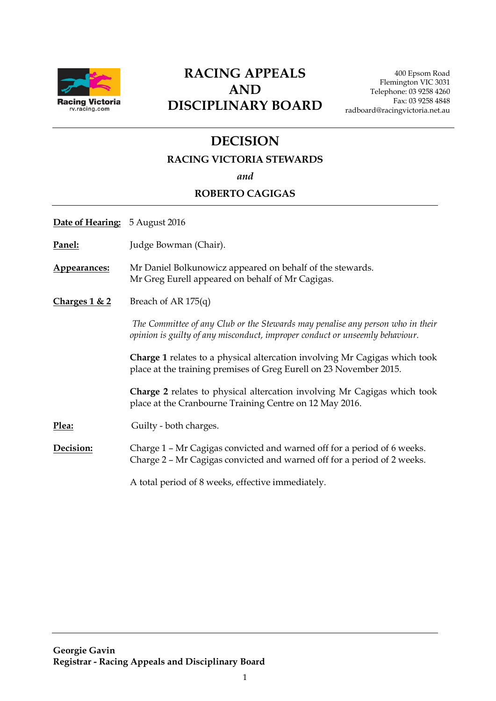

## **RACING APPEALS AND DISCIPLINARY BOARD**

400 Epsom Road Flemington VIC 3031 Telephone: 03 9258 4260 Fax: 03 9258 4848 radboard@racingvictoria.net.au

## **DECISION**

#### **RACING VICTORIA STEWARDS**

*and*

#### **ROBERTO CAGIGAS**

**Date of Hearing:** 5 August 2016

Panel: **Judge Bowman (Chair)**.

**Appearances:** Mr Daniel Bolkunowicz appeared on behalf of the stewards. Mr Greg Eurell appeared on behalf of Mr Cagigas.

**Charges 1 & 2** Breach of AR 175(q)

*The Committee of any Club or the Stewards may penalise any person who in their opinion is guilty of any misconduct, improper conduct or unseemly behaviour.*

**Charge 1** relates to a physical altercation involving Mr Cagigas which took place at the training premises of Greg Eurell on 23 November 2015.

**Charge 2** relates to physical altercation involving Mr Cagigas which took place at the Cranbourne Training Centre on 12 May 2016.

Plea: Guilty - both charges.

**Decision:** Charge 1 – Mr Cagigas convicted and warned off for a period of 6 weeks. Charge 2 – Mr Cagigas convicted and warned off for a period of 2 weeks.

A total period of 8 weeks, effective immediately.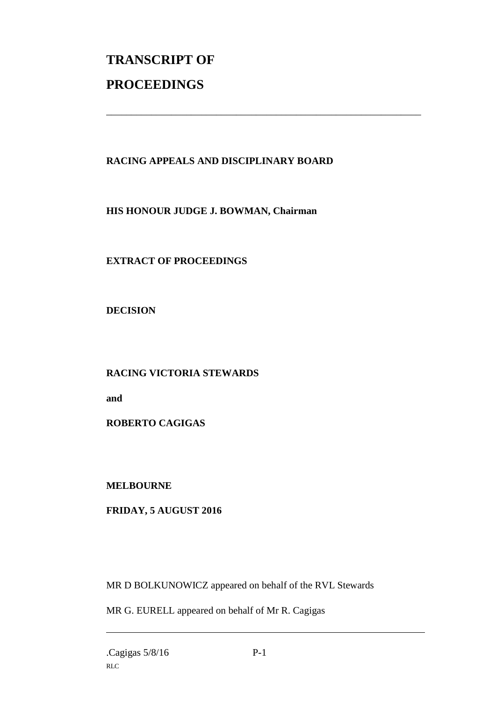# **TRANSCRIPT OF PROCEEDINGS**

### **RACING APPEALS AND DISCIPLINARY BOARD**

\_\_\_\_\_\_\_\_\_\_\_\_\_\_\_\_\_\_\_\_\_\_\_\_\_\_\_\_\_\_\_\_\_\_\_\_\_\_\_\_\_\_\_\_\_\_\_\_\_\_\_\_\_\_\_\_\_\_\_\_\_\_\_

**HIS HONOUR JUDGE J. BOWMAN, Chairman**

**EXTRACT OF PROCEEDINGS**

**DECISION**

**RACING VICTORIA STEWARDS** 

**and** 

**ROBERTO CAGIGAS**

**MELBOURNE**

**FRIDAY, 5 AUGUST 2016**

MR D BOLKUNOWICZ appeared on behalf of the RVL Stewards

MR G. EURELL appeared on behalf of Mr R. Cagigas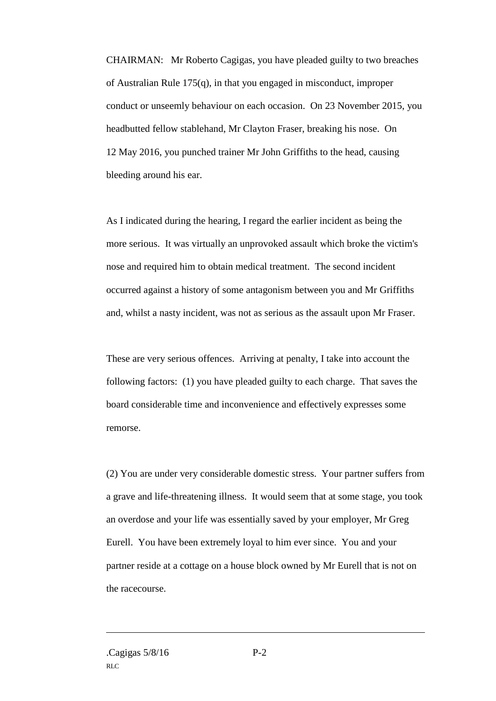CHAIRMAN: Mr Roberto Cagigas, you have pleaded guilty to two breaches of Australian Rule 175(q), in that you engaged in misconduct, improper conduct or unseemly behaviour on each occasion. On 23 November 2015, you headbutted fellow stablehand, Mr Clayton Fraser, breaking his nose. On 12 May 2016, you punched trainer Mr John Griffiths to the head, causing bleeding around his ear.

As I indicated during the hearing, I regard the earlier incident as being the more serious. It was virtually an unprovoked assault which broke the victim's nose and required him to obtain medical treatment. The second incident occurred against a history of some antagonism between you and Mr Griffiths and, whilst a nasty incident, was not as serious as the assault upon Mr Fraser.

These are very serious offences. Arriving at penalty, I take into account the following factors: (1) you have pleaded guilty to each charge. That saves the board considerable time and inconvenience and effectively expresses some remorse.

(2) You are under very considerable domestic stress. Your partner suffers from a grave and life-threatening illness. It would seem that at some stage, you took an overdose and your life was essentially saved by your employer, Mr Greg Eurell. You have been extremely loyal to him ever since. You and your partner reside at a cottage on a house block owned by Mr Eurell that is not on the racecourse.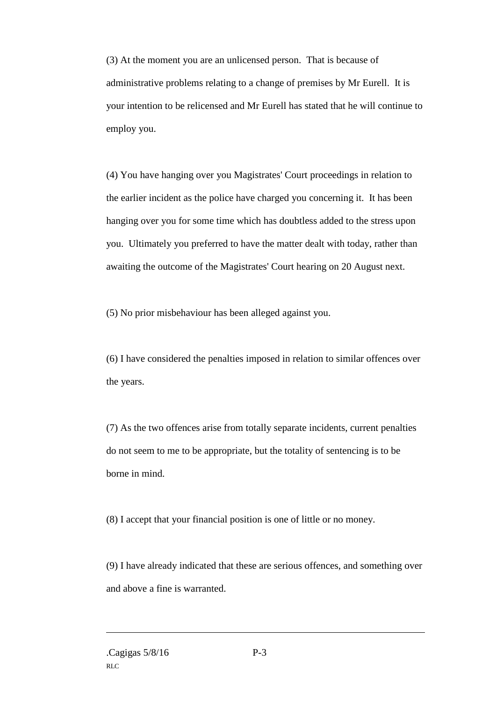(3) At the moment you are an unlicensed person. That is because of administrative problems relating to a change of premises by Mr Eurell. It is your intention to be relicensed and Mr Eurell has stated that he will continue to employ you.

(4) You have hanging over you Magistrates' Court proceedings in relation to the earlier incident as the police have charged you concerning it. It has been hanging over you for some time which has doubtless added to the stress upon you. Ultimately you preferred to have the matter dealt with today, rather than awaiting the outcome of the Magistrates' Court hearing on 20 August next.

(5) No prior misbehaviour has been alleged against you.

(6) I have considered the penalties imposed in relation to similar offences over the years.

(7) As the two offences arise from totally separate incidents, current penalties do not seem to me to be appropriate, but the totality of sentencing is to be borne in mind.

(8) I accept that your financial position is one of little or no money.

(9) I have already indicated that these are serious offences, and something over and above a fine is warranted.